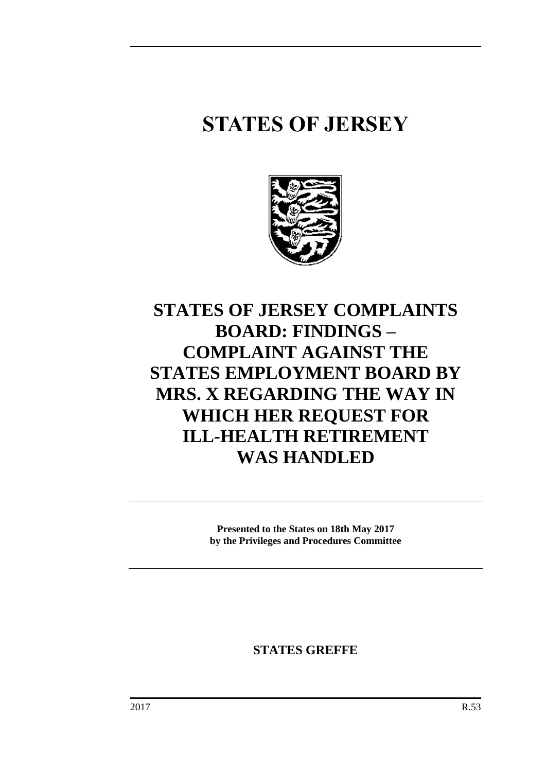# **STATES OF JERSEY**



# **STATES OF JERSEY COMPLAINTS BOARD: FINDINGS – COMPLAINT AGAINST THE STATES EMPLOYMENT BOARD BY MRS. X REGARDING THE WAY IN WHICH HER REQUEST FOR ILL-HEALTH RETIREMENT WAS HANDLED**

**Presented to the States on 18th May 2017 by the Privileges and Procedures Committee**

**STATES GREFFE**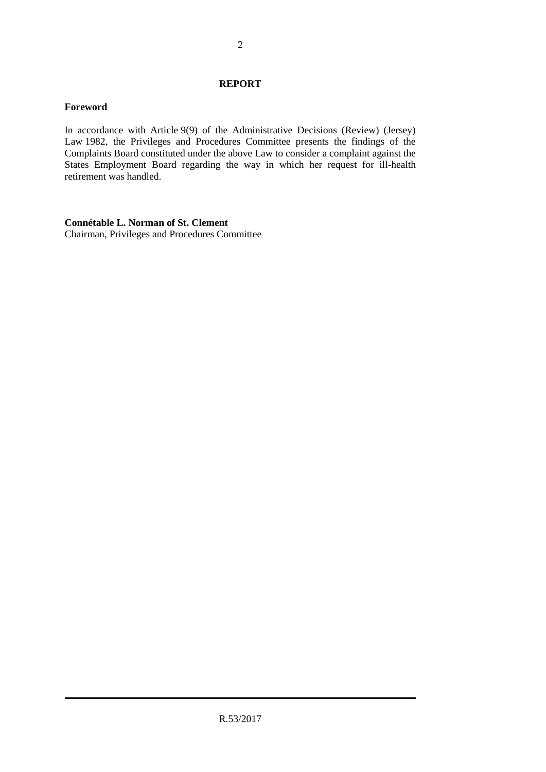#### **REPORT**

## **Foreword**

In accordance with Article 9(9) of the Administrative Decisions (Review) (Jersey) Law 1982, the Privileges and Procedures Committee presents the findings of the Complaints Board constituted under the above Law to consider a complaint against the States Employment Board regarding the way in which her request for ill-health retirement was handled.

# **Connétable L. Norman of St. Clement**

Chairman, Privileges and Procedures Committee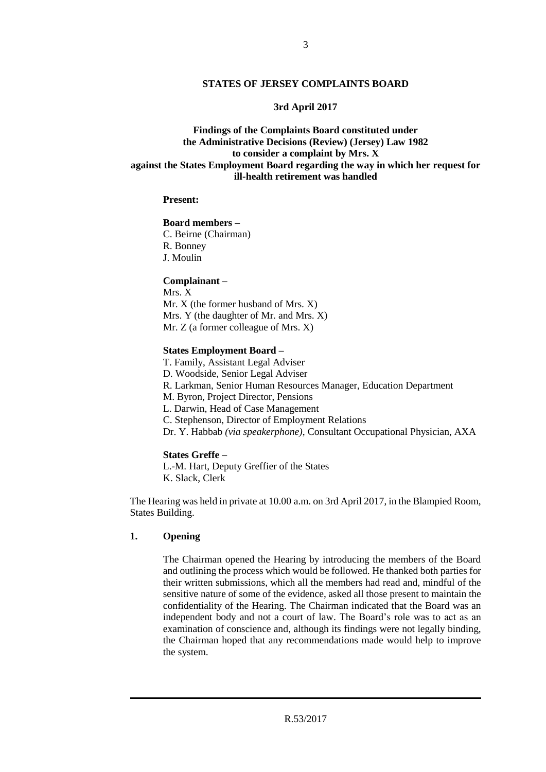#### **3rd April 2017**

# **Findings of the Complaints Board constituted under the Administrative Decisions (Review) (Jersey) Law 1982 to consider a complaint by Mrs. X against the States Employment Board regarding the way in which her request for ill-health retirement was handled**

#### **Present:**

#### **Board members –**

C. Beirne (Chairman) R. Bonney J. Moulin

#### **Complainant –**

Mrs. X Mr. X (the former husband of Mrs. X) Mrs. Y (the daughter of Mr. and Mrs. X) Mr. Z (a former colleague of Mrs. X)

#### **States Employment Board –**

T. Family, Assistant Legal Adviser D. Woodside, Senior Legal Adviser R. Larkman, Senior Human Resources Manager, Education Department M. Byron, Project Director, Pensions L. Darwin, Head of Case Management C. Stephenson, Director of Employment Relations Dr. Y. Habbab *(via speakerphone)*, Consultant Occupational Physician, AXA

#### **States Greffe –**

L.-M. Hart, Deputy Greffier of the States K. Slack, Clerk

The Hearing was held in private at 10.00 a.m. on 3rd April 2017, in the Blampied Room, States Building.

#### **1. Opening**

The Chairman opened the Hearing by introducing the members of the Board and outlining the process which would be followed. He thanked both parties for their written submissions, which all the members had read and, mindful of the sensitive nature of some of the evidence, asked all those present to maintain the confidentiality of the Hearing. The Chairman indicated that the Board was an independent body and not a court of law. The Board's role was to act as an examination of conscience and, although its findings were not legally binding, the Chairman hoped that any recommendations made would help to improve the system.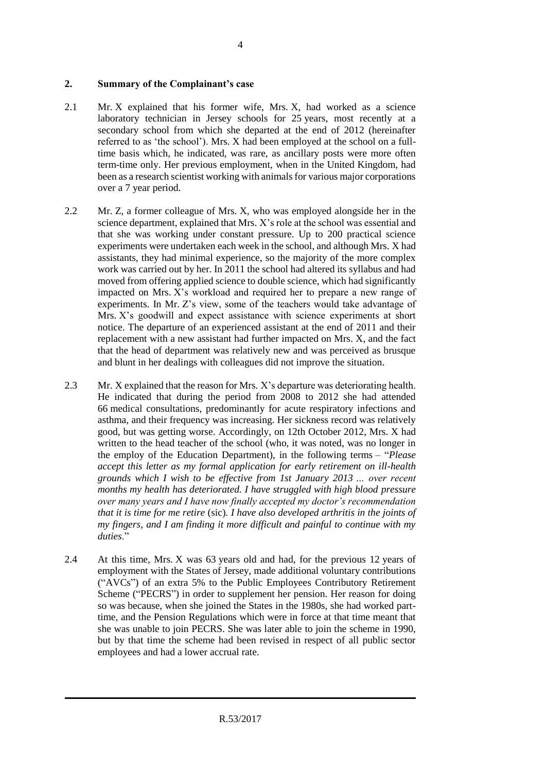#### **2. Summary of the Complainant's case**

- 2.1 Mr. X explained that his former wife, Mrs. X, had worked as a science laboratory technician in Jersey schools for 25 years, most recently at a secondary school from which she departed at the end of 2012 (hereinafter referred to as 'the school'). Mrs. X had been employed at the school on a fulltime basis which, he indicated, was rare, as ancillary posts were more often term-time only. Her previous employment, when in the United Kingdom, had been as a research scientist working with animals for various major corporations over a 7 year period.
- 2.2 Mr. Z, a former colleague of Mrs. X, who was employed alongside her in the science department, explained that Mrs. X's role at the school was essential and that she was working under constant pressure. Up to 200 practical science experiments were undertaken each week in the school, and although Mrs. X had assistants, they had minimal experience, so the majority of the more complex work was carried out by her. In 2011 the school had altered its syllabus and had moved from offering applied science to double science, which had significantly impacted on Mrs. X's workload and required her to prepare a new range of experiments. In Mr. Z's view, some of the teachers would take advantage of Mrs. X's goodwill and expect assistance with science experiments at short notice. The departure of an experienced assistant at the end of 2011 and their replacement with a new assistant had further impacted on Mrs. X, and the fact that the head of department was relatively new and was perceived as brusque and blunt in her dealings with colleagues did not improve the situation.
- 2.3 Mr. X explained that the reason for Mrs. X's departure was deteriorating health. He indicated that during the period from 2008 to 2012 she had attended 66 medical consultations, predominantly for acute respiratory infections and asthma, and their frequency was increasing. Her sickness record was relatively good, but was getting worse. Accordingly, on 12th October 2012, Mrs. X had written to the head teacher of the school (who, it was noted, was no longer in the employ of the Education Department), in the following terms – "*Please accept this letter as my formal application for early retirement on ill-health grounds which I wish to be effective from 1st January 2013 … over recent months my health has deteriorated. I have struggled with high blood pressure over many years and I have now finally accepted my doctor's recommendation that it is time for me retire* (sic)*. I have also developed arthritis in the joints of my fingers, and I am finding it more difficult and painful to continue with my duties*."
- 2.4 At this time, Mrs. X was 63 years old and had, for the previous 12 years of employment with the States of Jersey, made additional voluntary contributions ("AVCs") of an extra 5% to the Public Employees Contributory Retirement Scheme ("PECRS") in order to supplement her pension. Her reason for doing so was because, when she joined the States in the 1980s, she had worked parttime, and the Pension Regulations which were in force at that time meant that she was unable to join PECRS. She was later able to join the scheme in 1990, but by that time the scheme had been revised in respect of all public sector employees and had a lower accrual rate.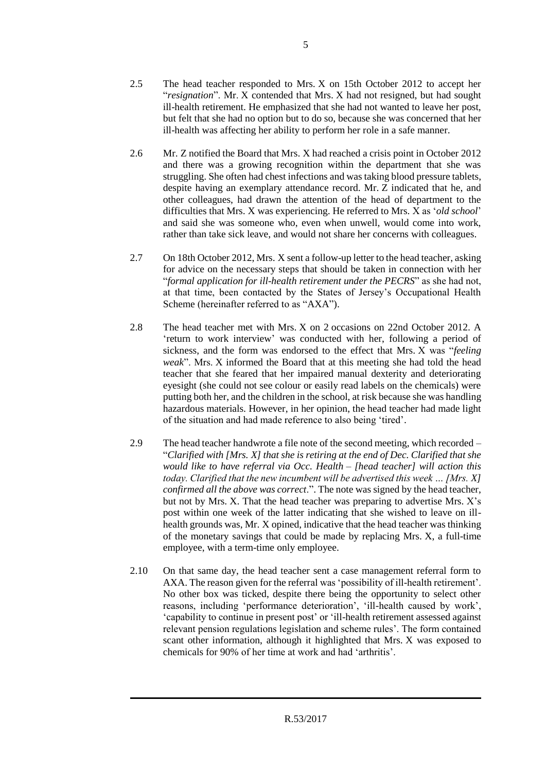- 2.5 The head teacher responded to Mrs. X on 15th October 2012 to accept her "*resignation*". Mr. X contended that Mrs. X had not resigned, but had sought ill-health retirement. He emphasized that she had not wanted to leave her post, but felt that she had no option but to do so, because she was concerned that her ill-health was affecting her ability to perform her role in a safe manner.
- 2.6 Mr. Z notified the Board that Mrs. X had reached a crisis point in October 2012 and there was a growing recognition within the department that she was struggling. She often had chest infections and was taking blood pressure tablets, despite having an exemplary attendance record. Mr. Z indicated that he, and other colleagues, had drawn the attention of the head of department to the difficulties that Mrs. X was experiencing. He referred to Mrs. X as '*old school*' and said she was someone who, even when unwell, would come into work, rather than take sick leave, and would not share her concerns with colleagues.
- 2.7 On 18th October 2012, Mrs. X sent a follow-up letter to the head teacher, asking for advice on the necessary steps that should be taken in connection with her "*formal application for ill-health retirement under the PECRS*" as she had not, at that time, been contacted by the States of Jersey's Occupational Health Scheme (hereinafter referred to as "AXA").
- 2.8 The head teacher met with Mrs. X on 2 occasions on 22nd October 2012. A 'return to work interview' was conducted with her, following a period of sickness, and the form was endorsed to the effect that Mrs. X was "*feeling weak*". Mrs. X informed the Board that at this meeting she had told the head teacher that she feared that her impaired manual dexterity and deteriorating eyesight (she could not see colour or easily read labels on the chemicals) were putting both her, and the children in the school, at risk because she was handling hazardous materials. However, in her opinion, the head teacher had made light of the situation and had made reference to also being 'tired'.
- 2.9 The head teacher handwrote a file note of the second meeting, which recorded "*Clarified with [Mrs. X] that she is retiring at the end of Dec. Clarified that she would like to have referral via Occ. Health – [head teacher] will action this today. Clarified that the new incumbent will be advertised this week … [Mrs. X] confirmed all the above was correct*.". The note was signed by the head teacher, but not by Mrs. X. That the head teacher was preparing to advertise Mrs. X's post within one week of the latter indicating that she wished to leave on illhealth grounds was, Mr. X opined, indicative that the head teacher was thinking of the monetary savings that could be made by replacing Mrs. X, a full-time employee, with a term-time only employee.
- 2.10 On that same day, the head teacher sent a case management referral form to AXA. The reason given for the referral was 'possibility of ill-health retirement'. No other box was ticked, despite there being the opportunity to select other reasons, including 'performance deterioration', 'ill-health caused by work', 'capability to continue in present post' or 'ill-health retirement assessed against relevant pension regulations legislation and scheme rules'. The form contained scant other information, although it highlighted that Mrs. X was exposed to chemicals for 90% of her time at work and had 'arthritis'.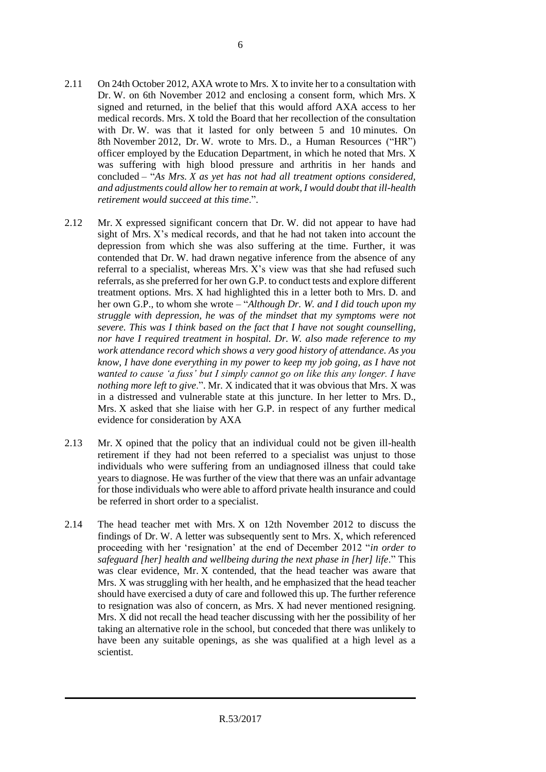- 2.11 On 24th October 2012, AXA wrote to Mrs. X to invite her to a consultation with Dr. W. on 6th November 2012 and enclosing a consent form, which Mrs. X signed and returned, in the belief that this would afford AXA access to her medical records. Mrs. X told the Board that her recollection of the consultation with Dr. W. was that it lasted for only between 5 and 10 minutes. On 8th November 2012, Dr. W. wrote to Mrs. D., a Human Resources ("HR") officer employed by the Education Department, in which he noted that Mrs. X was suffering with high blood pressure and arthritis in her hands and concluded – "*As Mrs. X as yet has not had all treatment options considered, and adjustments could allow her to remain at work, I would doubt that ill-health retirement would succeed at this time*.".
- 2.12 Mr. X expressed significant concern that Dr. W. did not appear to have had sight of Mrs. X's medical records, and that he had not taken into account the depression from which she was also suffering at the time. Further, it was contended that Dr. W. had drawn negative inference from the absence of any referral to a specialist, whereas Mrs. X's view was that she had refused such referrals, as she preferred for her own G.P. to conduct tests and explore different treatment options. Mrs. X had highlighted this in a letter both to Mrs. D. and her own G.P., to whom she wrote – "*Although Dr. W. and I did touch upon my struggle with depression, he was of the mindset that my symptoms were not severe. This was I think based on the fact that I have not sought counselling, nor have I required treatment in hospital. Dr. W. also made reference to my work attendance record which shows a very good history of attendance. As you know, I have done everything in my power to keep my job going, as I have not wanted to cause 'a fuss' but I simply cannot go on like this any longer. I have nothing more left to give*.". Mr. X indicated that it was obvious that Mrs. X was in a distressed and vulnerable state at this juncture. In her letter to Mrs. D., Mrs. X asked that she liaise with her G.P. in respect of any further medical evidence for consideration by AXA
- 2.13 Mr. X opined that the policy that an individual could not be given ill-health retirement if they had not been referred to a specialist was unjust to those individuals who were suffering from an undiagnosed illness that could take years to diagnose. He was further of the view that there was an unfair advantage for those individuals who were able to afford private health insurance and could be referred in short order to a specialist.
- 2.14 The head teacher met with Mrs. X on 12th November 2012 to discuss the findings of Dr. W. A letter was subsequently sent to Mrs. X, which referenced proceeding with her 'resignation' at the end of December 2012 "*in order to safeguard [her] health and wellbeing during the next phase in [her] life*." This was clear evidence, Mr. X contended, that the head teacher was aware that Mrs. X was struggling with her health, and he emphasized that the head teacher should have exercised a duty of care and followed this up. The further reference to resignation was also of concern, as Mrs. X had never mentioned resigning. Mrs. X did not recall the head teacher discussing with her the possibility of her taking an alternative role in the school, but conceded that there was unlikely to have been any suitable openings, as she was qualified at a high level as a scientist.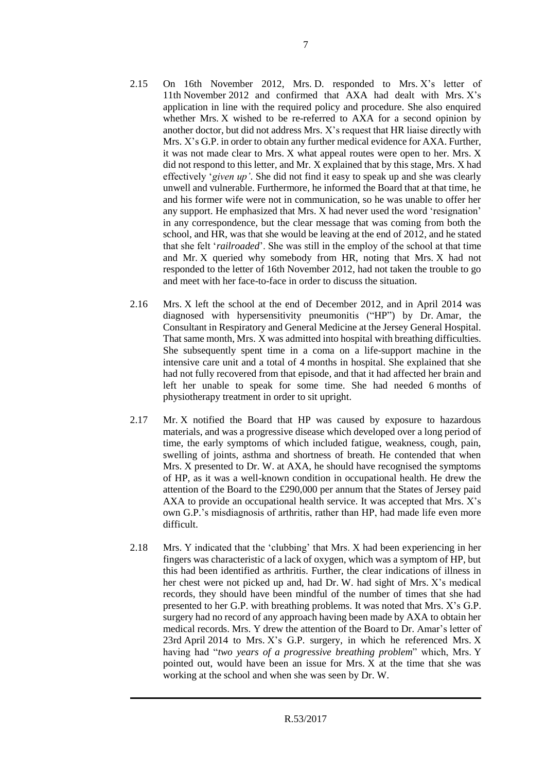- 2.15 On 16th November 2012, Mrs. D. responded to Mrs. X's letter of 11th November 2012 and confirmed that AXA had dealt with Mrs. X's application in line with the required policy and procedure. She also enquired whether Mrs. X wished to be re-referred to AXA for a second opinion by another doctor, but did not address Mrs. X's request that HR liaise directly with Mrs. X's G.P. in order to obtain any further medical evidence for AXA. Further, it was not made clear to Mrs. X what appeal routes were open to her. Mrs. X did not respond to this letter, and Mr. X explained that by this stage, Mrs. X had effectively '*given up'*. She did not find it easy to speak up and she was clearly unwell and vulnerable. Furthermore, he informed the Board that at that time, he and his former wife were not in communication, so he was unable to offer her any support. He emphasized that Mrs. X had never used the word 'resignation' in any correspondence, but the clear message that was coming from both the school, and HR, was that she would be leaving at the end of 2012, and he stated that she felt '*railroaded*'. She was still in the employ of the school at that time and Mr. X queried why somebody from HR, noting that Mrs. X had not responded to the letter of 16th November 2012, had not taken the trouble to go and meet with her face-to-face in order to discuss the situation.
- 2.16 Mrs. X left the school at the end of December 2012, and in April 2014 was diagnosed with hypersensitivity pneumonitis ("HP") by Dr. Amar, the Consultant in Respiratory and General Medicine at the Jersey General Hospital. That same month, Mrs. X was admitted into hospital with breathing difficulties. She subsequently spent time in a coma on a life-support machine in the intensive care unit and a total of 4 months in hospital. She explained that she had not fully recovered from that episode, and that it had affected her brain and left her unable to speak for some time. She had needed 6 months of physiotherapy treatment in order to sit upright.
- 2.17 Mr. X notified the Board that HP was caused by exposure to hazardous materials, and was a progressive disease which developed over a long period of time, the early symptoms of which included fatigue, weakness, cough, pain, swelling of joints, asthma and shortness of breath. He contended that when Mrs. X presented to Dr. W. at AXA, he should have recognised the symptoms of HP, as it was a well-known condition in occupational health. He drew the attention of the Board to the £290,000 per annum that the States of Jersey paid AXA to provide an occupational health service. It was accepted that Mrs. X's own G.P.'s misdiagnosis of arthritis, rather than HP, had made life even more difficult.
- 2.18 Mrs. Y indicated that the 'clubbing' that Mrs. X had been experiencing in her fingers was characteristic of a lack of oxygen, which was a symptom of HP, but this had been identified as arthritis. Further, the clear indications of illness in her chest were not picked up and, had Dr. W. had sight of Mrs. X's medical records, they should have been mindful of the number of times that she had presented to her G.P. with breathing problems. It was noted that Mrs. X's G.P. surgery had no record of any approach having been made by AXA to obtain her medical records. Mrs. Y drew the attention of the Board to Dr. Amar's letter of 23rd April 2014 to Mrs. X's G.P. surgery, in which he referenced Mrs. X having had "*two years of a progressive breathing problem*" which, Mrs. Y pointed out, would have been an issue for Mrs. X at the time that she was working at the school and when she was seen by Dr. W.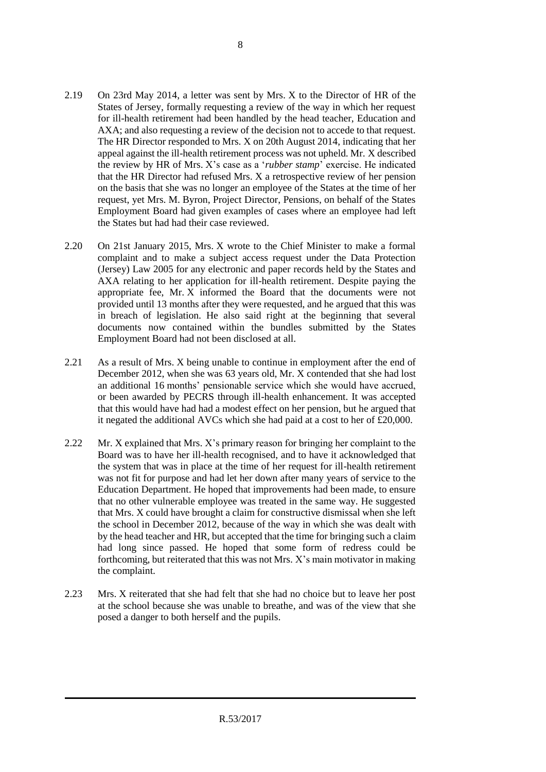8

- 2.19 On 23rd May 2014, a letter was sent by Mrs. X to the Director of HR of the States of Jersey, formally requesting a review of the way in which her request for ill-health retirement had been handled by the head teacher, Education and AXA; and also requesting a review of the decision not to accede to that request. The HR Director responded to Mrs. X on 20th August 2014, indicating that her appeal against the ill-health retirement process was not upheld. Mr. X described the review by HR of Mrs. X's case as a '*rubber stamp*' exercise. He indicated that the HR Director had refused Mrs. X a retrospective review of her pension on the basis that she was no longer an employee of the States at the time of her request, yet Mrs. M. Byron, Project Director, Pensions, on behalf of the States Employment Board had given examples of cases where an employee had left the States but had had their case reviewed.
- 2.20 On 21st January 2015, Mrs. X wrote to the Chief Minister to make a formal complaint and to make a subject access request under the Data Protection (Jersey) Law 2005 for any electronic and paper records held by the States and AXA relating to her application for ill-health retirement. Despite paying the appropriate fee, Mr. X informed the Board that the documents were not provided until 13 months after they were requested, and he argued that this was in breach of legislation. He also said right at the beginning that several documents now contained within the bundles submitted by the States Employment Board had not been disclosed at all.
- 2.21 As a result of Mrs. X being unable to continue in employment after the end of December 2012, when she was 63 years old, Mr. X contended that she had lost an additional 16 months' pensionable service which she would have accrued, or been awarded by PECRS through ill-health enhancement. It was accepted that this would have had had a modest effect on her pension, but he argued that it negated the additional AVCs which she had paid at a cost to her of £20,000.
- 2.22 Mr. X explained that Mrs. X's primary reason for bringing her complaint to the Board was to have her ill-health recognised, and to have it acknowledged that the system that was in place at the time of her request for ill-health retirement was not fit for purpose and had let her down after many years of service to the Education Department. He hoped that improvements had been made, to ensure that no other vulnerable employee was treated in the same way. He suggested that Mrs. X could have brought a claim for constructive dismissal when she left the school in December 2012, because of the way in which she was dealt with by the head teacher and HR, but accepted that the time for bringing such a claim had long since passed. He hoped that some form of redress could be forthcoming, but reiterated that this was not Mrs. X's main motivator in making the complaint.
- 2.23 Mrs. X reiterated that she had felt that she had no choice but to leave her post at the school because she was unable to breathe, and was of the view that she posed a danger to both herself and the pupils.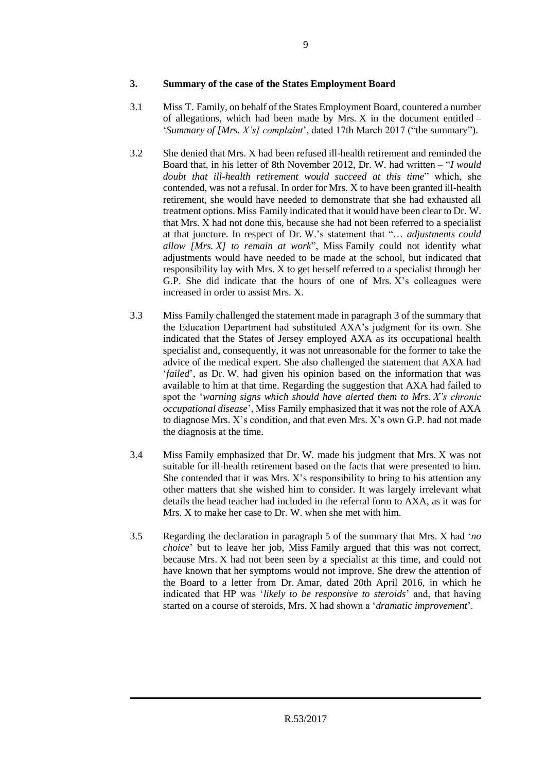## **3. Summary of the case of the States Employment Board**

- 3.1 Miss T. Family, on behalf of the States Employment Board, countered a number of allegations, which had been made by Mrs. X in the document entitled – '*Summary of [Mrs. X's] complaint*', dated 17th March 2017 ("the summary").
- 3.2 She denied that Mrs. X had been refused ill-health retirement and reminded the Board that, in his letter of 8th November 2012, Dr. W. had written – "*I would doubt that ill-health retirement would succeed at this time*" which, she contended, was not a refusal. In order for Mrs. X to have been granted ill-health retirement, she would have needed to demonstrate that she had exhausted all treatment options. Miss Family indicated that it would have been clear to Dr. W. that Mrs. X had not done this, because she had not been referred to a specialist at that juncture. In respect of Dr. W.'s statement that "… *adjustments could allow [Mrs. X] to remain at work*", Miss Family could not identify what adjustments would have needed to be made at the school, but indicated that responsibility lay with Mrs. X to get herself referred to a specialist through her G.P. She did indicate that the hours of one of Mrs. X's colleagues were increased in order to assist Mrs. X.
- 3.3 Miss Family challenged the statement made in paragraph 3 of the summary that the Education Department had substituted AXA's judgment for its own. She indicated that the States of Jersey employed AXA as its occupational health specialist and, consequently, it was not unreasonable for the former to take the advice of the medical expert. She also challenged the statement that AXA had '*failed*', as Dr. W. had given his opinion based on the information that was available to him at that time. Regarding the suggestion that AXA had failed to spot the '*warning signs which should have alerted them to Mrs. X's chronic occupational disease*', Miss Family emphasized that it was not the role of AXA to diagnose Mrs. X's condition, and that even Mrs. X's own G.P. had not made the diagnosis at the time.
- 3.4 Miss Family emphasized that Dr. W. made his judgment that Mrs. X was not suitable for ill-health retirement based on the facts that were presented to him. She contended that it was Mrs. X's responsibility to bring to his attention any other matters that she wished him to consider. It was largely irrelevant what details the head teacher had included in the referral form to AXA, as it was for Mrs. X to make her case to Dr. W. when she met with him.
- 3.5 Regarding the declaration in paragraph 5 of the summary that Mrs. X had '*no choice*' but to leave her job, Miss Family argued that this was not correct, because Mrs. X had not been seen by a specialist at this time, and could not have known that her symptoms would not improve. She drew the attention of the Board to a letter from Dr. Amar, dated 20th April 2016, in which he indicated that HP was '*likely to be responsive to steroids*' and, that having started on a course of steroids, Mrs. X had shown a '*dramatic improvement*'.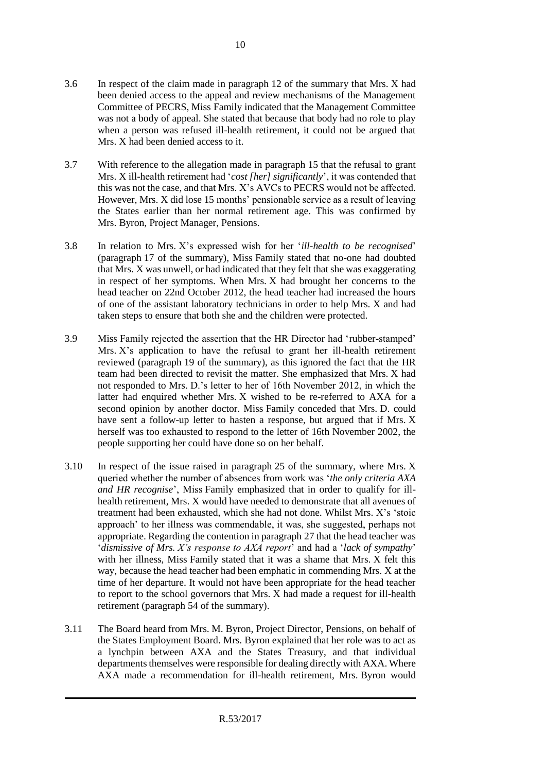- 3.6 In respect of the claim made in paragraph 12 of the summary that Mrs. X had been denied access to the appeal and review mechanisms of the Management Committee of PECRS, Miss Family indicated that the Management Committee was not a body of appeal. She stated that because that body had no role to play when a person was refused ill-health retirement, it could not be argued that Mrs. X had been denied access to it.
- 3.7 With reference to the allegation made in paragraph 15 that the refusal to grant Mrs. X ill-health retirement had '*cost [her] significantly*', it was contended that this was not the case, and that Mrs. X's AVCs to PECRS would not be affected. However, Mrs. X did lose 15 months' pensionable service as a result of leaving the States earlier than her normal retirement age. This was confirmed by Mrs. Byron, Project Manager, Pensions.
- 3.8 In relation to Mrs. X's expressed wish for her '*ill-health to be recognised*' (paragraph 17 of the summary), Miss Family stated that no-one had doubted that Mrs. X was unwell, or had indicated that they felt that she was exaggerating in respect of her symptoms. When Mrs. X had brought her concerns to the head teacher on 22nd October 2012, the head teacher had increased the hours of one of the assistant laboratory technicians in order to help Mrs. X and had taken steps to ensure that both she and the children were protected.
- 3.9 Miss Family rejected the assertion that the HR Director had 'rubber-stamped' Mrs. X's application to have the refusal to grant her ill-health retirement reviewed (paragraph 19 of the summary), as this ignored the fact that the HR team had been directed to revisit the matter. She emphasized that Mrs. X had not responded to Mrs. D.'s letter to her of 16th November 2012, in which the latter had enquired whether Mrs. X wished to be re-referred to AXA for a second opinion by another doctor. Miss Family conceded that Mrs. D. could have sent a follow-up letter to hasten a response, but argued that if Mrs. X herself was too exhausted to respond to the letter of 16th November 2002, the people supporting her could have done so on her behalf.
- 3.10 In respect of the issue raised in paragraph 25 of the summary, where Mrs. X queried whether the number of absences from work was '*the only criteria AXA and HR recognise*', Miss Family emphasized that in order to qualify for illhealth retirement, Mrs. X would have needed to demonstrate that all avenues of treatment had been exhausted, which she had not done. Whilst Mrs. X's 'stoic approach' to her illness was commendable, it was, she suggested, perhaps not appropriate. Regarding the contention in paragraph 27 that the head teacher was '*dismissive of Mrs. X's response to AXA report*' and had a '*lack of sympathy*' with her illness, Miss Family stated that it was a shame that Mrs. X felt this way, because the head teacher had been emphatic in commending Mrs. X at the time of her departure. It would not have been appropriate for the head teacher to report to the school governors that Mrs. X had made a request for ill-health retirement (paragraph 54 of the summary).
- 3.11 The Board heard from Mrs. M. Byron, Project Director, Pensions, on behalf of the States Employment Board. Mrs. Byron explained that her role was to act as a lynchpin between AXA and the States Treasury, and that individual departments themselves were responsible for dealing directly with AXA. Where AXA made a recommendation for ill-health retirement, Mrs. Byron would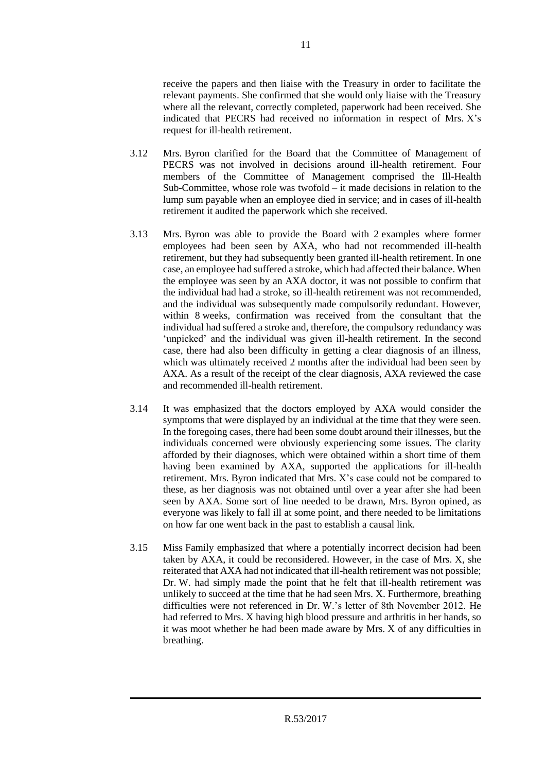receive the papers and then liaise with the Treasury in order to facilitate the relevant payments. She confirmed that she would only liaise with the Treasury where all the relevant, correctly completed, paperwork had been received. She indicated that PECRS had received no information in respect of Mrs. X's request for ill-health retirement.

- 3.12 Mrs. Byron clarified for the Board that the Committee of Management of PECRS was not involved in decisions around ill-health retirement. Four members of the Committee of Management comprised the Ill-Health Sub-Committee, whose role was twofold – it made decisions in relation to the lump sum payable when an employee died in service; and in cases of ill-health retirement it audited the paperwork which she received.
- 3.13 Mrs. Byron was able to provide the Board with 2 examples where former employees had been seen by AXA, who had not recommended ill-health retirement, but they had subsequently been granted ill-health retirement. In one case, an employee had suffered a stroke, which had affected their balance. When the employee was seen by an AXA doctor, it was not possible to confirm that the individual had had a stroke, so ill-health retirement was not recommended, and the individual was subsequently made compulsorily redundant. However, within 8 weeks, confirmation was received from the consultant that the individual had suffered a stroke and, therefore, the compulsory redundancy was 'unpicked' and the individual was given ill-health retirement. In the second case, there had also been difficulty in getting a clear diagnosis of an illness, which was ultimately received 2 months after the individual had been seen by AXA. As a result of the receipt of the clear diagnosis, AXA reviewed the case and recommended ill-health retirement.
- 3.14 It was emphasized that the doctors employed by AXA would consider the symptoms that were displayed by an individual at the time that they were seen. In the foregoing cases, there had been some doubt around their illnesses, but the individuals concerned were obviously experiencing some issues. The clarity afforded by their diagnoses, which were obtained within a short time of them having been examined by AXA, supported the applications for ill-health retirement. Mrs. Byron indicated that Mrs. X's case could not be compared to these, as her diagnosis was not obtained until over a year after she had been seen by AXA. Some sort of line needed to be drawn, Mrs. Byron opined, as everyone was likely to fall ill at some point, and there needed to be limitations on how far one went back in the past to establish a causal link.
- 3.15 Miss Family emphasized that where a potentially incorrect decision had been taken by AXA, it could be reconsidered. However, in the case of Mrs. X, she reiterated that AXA had not indicated that ill-health retirement was not possible; Dr. W. had simply made the point that he felt that ill-health retirement was unlikely to succeed at the time that he had seen Mrs. X. Furthermore, breathing difficulties were not referenced in Dr. W.'s letter of 8th November 2012. He had referred to Mrs. X having high blood pressure and arthritis in her hands, so it was moot whether he had been made aware by Mrs. X of any difficulties in breathing.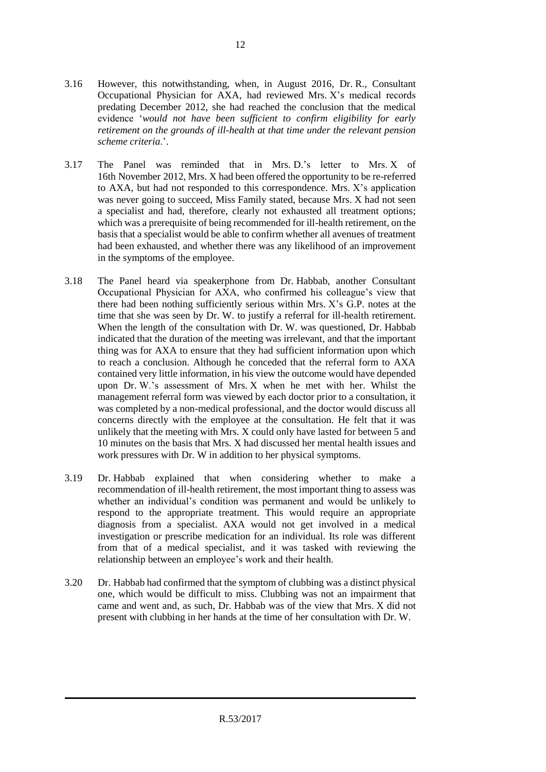- 3.17 The Panel was reminded that in Mrs. D.'s letter to Mrs. X of 16th November 2012, Mrs. X had been offered the opportunity to be re-referred to AXA, but had not responded to this correspondence. Mrs. X's application was never going to succeed, Miss Family stated, because Mrs. X had not seen a specialist and had, therefore, clearly not exhausted all treatment options; which was a prerequisite of being recommended for ill-health retirement, on the basis that a specialist would be able to confirm whether all avenues of treatment had been exhausted, and whether there was any likelihood of an improvement in the symptoms of the employee.
- 3.18 The Panel heard via speakerphone from Dr. Habbab, another Consultant Occupational Physician for AXA, who confirmed his colleague's view that there had been nothing sufficiently serious within Mrs. X's G.P. notes at the time that she was seen by Dr. W. to justify a referral for ill-health retirement. When the length of the consultation with Dr. W. was questioned, Dr. Habbab indicated that the duration of the meeting was irrelevant, and that the important thing was for AXA to ensure that they had sufficient information upon which to reach a conclusion. Although he conceded that the referral form to AXA contained very little information, in his view the outcome would have depended upon Dr. W.'s assessment of Mrs. X when he met with her. Whilst the management referral form was viewed by each doctor prior to a consultation, it was completed by a non-medical professional, and the doctor would discuss all concerns directly with the employee at the consultation. He felt that it was unlikely that the meeting with Mrs. X could only have lasted for between 5 and 10 minutes on the basis that Mrs. X had discussed her mental health issues and work pressures with Dr. W in addition to her physical symptoms.
- 3.19 Dr. Habbab explained that when considering whether to make a recommendation of ill-health retirement, the most important thing to assess was whether an individual's condition was permanent and would be unlikely to respond to the appropriate treatment. This would require an appropriate diagnosis from a specialist. AXA would not get involved in a medical investigation or prescribe medication for an individual. Its role was different from that of a medical specialist, and it was tasked with reviewing the relationship between an employee's work and their health.
- 3.20 Dr. Habbab had confirmed that the symptom of clubbing was a distinct physical one, which would be difficult to miss. Clubbing was not an impairment that came and went and, as such, Dr. Habbab was of the view that Mrs. X did not present with clubbing in her hands at the time of her consultation with Dr. W.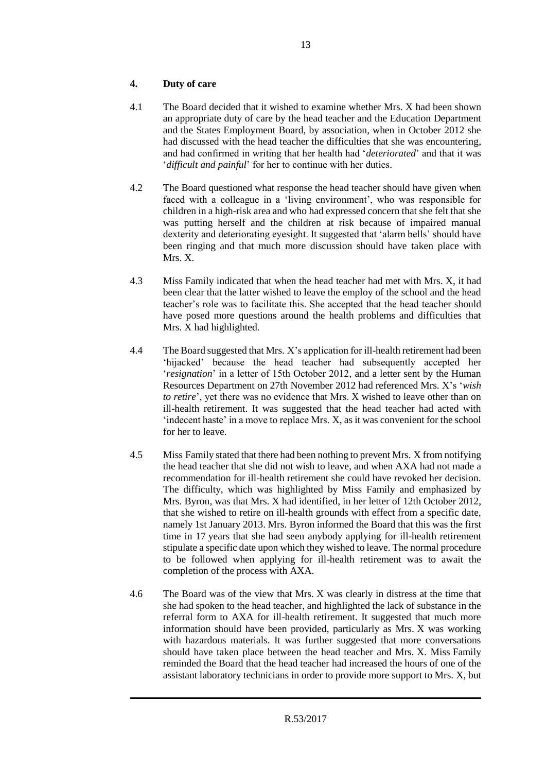# **4. Duty of care**

- 4.1 The Board decided that it wished to examine whether Mrs. X had been shown an appropriate duty of care by the head teacher and the Education Department and the States Employment Board, by association, when in October 2012 she had discussed with the head teacher the difficulties that she was encountering, and had confirmed in writing that her health had '*deteriorated*' and that it was '*difficult and painful*' for her to continue with her duties.
- 4.2 The Board questioned what response the head teacher should have given when faced with a colleague in a 'living environment', who was responsible for children in a high-risk area and who had expressed concern that she felt that she was putting herself and the children at risk because of impaired manual dexterity and deteriorating eyesight. It suggested that 'alarm bells' should have been ringing and that much more discussion should have taken place with Mrs. X.
- 4.3 Miss Family indicated that when the head teacher had met with Mrs. X, it had been clear that the latter wished to leave the employ of the school and the head teacher's role was to facilitate this. She accepted that the head teacher should have posed more questions around the health problems and difficulties that Mrs. X had highlighted.
- 4.4 The Board suggested that Mrs. X's application for ill-health retirement had been 'hijacked' because the head teacher had subsequently accepted her '*resignation*' in a letter of 15th October 2012, and a letter sent by the Human Resources Department on 27th November 2012 had referenced Mrs. X's '*wish to retire*', yet there was no evidence that Mrs. X wished to leave other than on ill-health retirement. It was suggested that the head teacher had acted with 'indecent haste' in a move to replace Mrs. X, as it was convenient for the school for her to leave.
- 4.5 Miss Family stated that there had been nothing to prevent Mrs. X from notifying the head teacher that she did not wish to leave, and when AXA had not made a recommendation for ill-health retirement she could have revoked her decision. The difficulty, which was highlighted by Miss Family and emphasized by Mrs. Byron, was that Mrs. X had identified, in her letter of 12th October 2012, that she wished to retire on ill-health grounds with effect from a specific date, namely 1st January 2013. Mrs. Byron informed the Board that this was the first time in 17 years that she had seen anybody applying for ill-health retirement stipulate a specific date upon which they wished to leave. The normal procedure to be followed when applying for ill-health retirement was to await the completion of the process with AXA.
- 4.6 The Board was of the view that Mrs. X was clearly in distress at the time that she had spoken to the head teacher, and highlighted the lack of substance in the referral form to AXA for ill-health retirement. It suggested that much more information should have been provided, particularly as Mrs. X was working with hazardous materials. It was further suggested that more conversations should have taken place between the head teacher and Mrs. X. Miss Family reminded the Board that the head teacher had increased the hours of one of the assistant laboratory technicians in order to provide more support to Mrs. X, but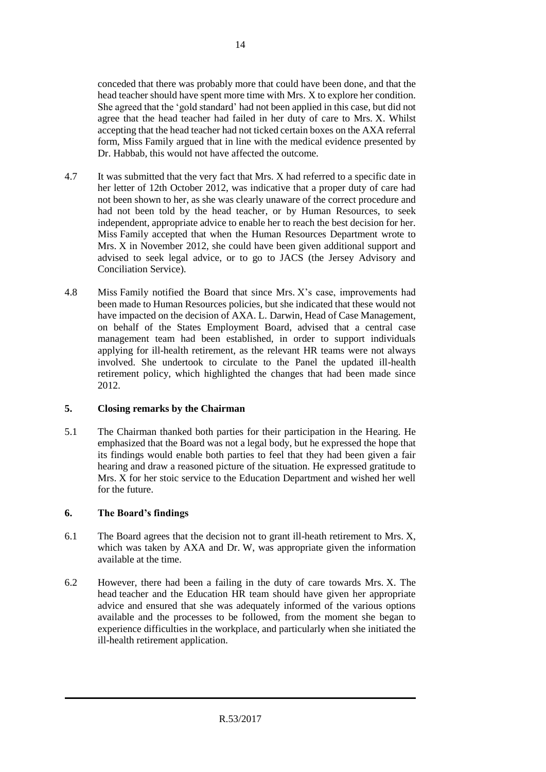conceded that there was probably more that could have been done, and that the head teacher should have spent more time with Mrs. X to explore her condition. She agreed that the 'gold standard' had not been applied in this case, but did not agree that the head teacher had failed in her duty of care to Mrs. X. Whilst accepting that the head teacher had not ticked certain boxes on the AXA referral form, Miss Family argued that in line with the medical evidence presented by Dr. Habbab, this would not have affected the outcome.

- 4.7 It was submitted that the very fact that Mrs. X had referred to a specific date in her letter of 12th October 2012, was indicative that a proper duty of care had not been shown to her, as she was clearly unaware of the correct procedure and had not been told by the head teacher, or by Human Resources, to seek independent, appropriate advice to enable her to reach the best decision for her. Miss Family accepted that when the Human Resources Department wrote to Mrs. X in November 2012, she could have been given additional support and advised to seek legal advice, or to go to JACS (the Jersey Advisory and Conciliation Service).
- 4.8 Miss Family notified the Board that since Mrs. X's case, improvements had been made to Human Resources policies, but she indicated that these would not have impacted on the decision of AXA. L. Darwin, Head of Case Management, on behalf of the States Employment Board, advised that a central case management team had been established, in order to support individuals applying for ill-health retirement, as the relevant HR teams were not always involved. She undertook to circulate to the Panel the updated ill-health retirement policy, which highlighted the changes that had been made since 2012.

# **5. Closing remarks by the Chairman**

5.1 The Chairman thanked both parties for their participation in the Hearing. He emphasized that the Board was not a legal body, but he expressed the hope that its findings would enable both parties to feel that they had been given a fair hearing and draw a reasoned picture of the situation. He expressed gratitude to Mrs. X for her stoic service to the Education Department and wished her well for the future.

# **6. The Board's findings**

- 6.1 The Board agrees that the decision not to grant ill-heath retirement to Mrs. X, which was taken by AXA and Dr. W, was appropriate given the information available at the time.
- 6.2 However, there had been a failing in the duty of care towards Mrs. X. The head teacher and the Education HR team should have given her appropriate advice and ensured that she was adequately informed of the various options available and the processes to be followed, from the moment she began to experience difficulties in the workplace, and particularly when she initiated the ill-health retirement application.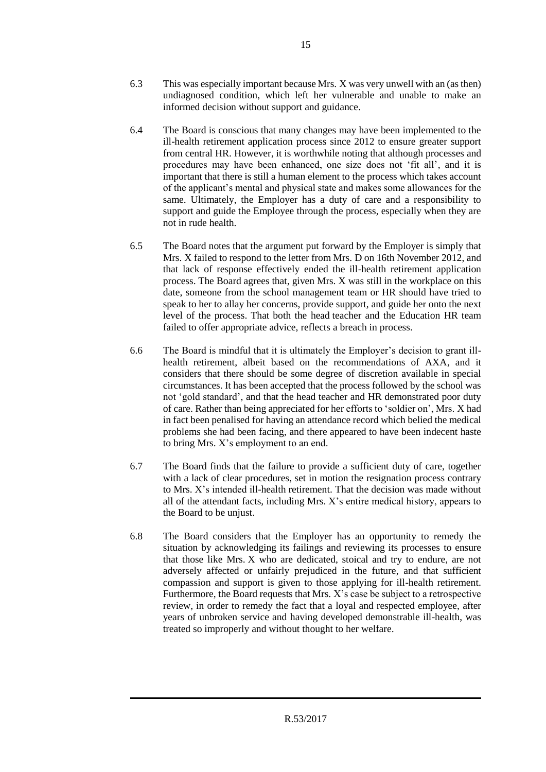- 6.3 This was especially important because Mrs. X was very unwell with an (as then) undiagnosed condition, which left her vulnerable and unable to make an informed decision without support and guidance.
- 6.4 The Board is conscious that many changes may have been implemented to the ill-health retirement application process since 2012 to ensure greater support from central HR. However, it is worthwhile noting that although processes and procedures may have been enhanced, one size does not 'fit all', and it is important that there is still a human element to the process which takes account of the applicant's mental and physical state and makes some allowances for the same. Ultimately, the Employer has a duty of care and a responsibility to support and guide the Employee through the process, especially when they are not in rude health.
- 6.5 The Board notes that the argument put forward by the Employer is simply that Mrs. X failed to respond to the letter from Mrs. D on 16th November 2012, and that lack of response effectively ended the ill-health retirement application process. The Board agrees that, given Mrs. X was still in the workplace on this date, someone from the school management team or HR should have tried to speak to her to allay her concerns, provide support, and guide her onto the next level of the process. That both the head teacher and the Education HR team failed to offer appropriate advice, reflects a breach in process.
- 6.6 The Board is mindful that it is ultimately the Employer's decision to grant illhealth retirement, albeit based on the recommendations of AXA, and it considers that there should be some degree of discretion available in special circumstances. It has been accepted that the process followed by the school was not 'gold standard', and that the head teacher and HR demonstrated poor duty of care. Rather than being appreciated for her efforts to 'soldier on', Mrs. X had in fact been penalised for having an attendance record which belied the medical problems she had been facing, and there appeared to have been indecent haste to bring Mrs. X's employment to an end.
- 6.7 The Board finds that the failure to provide a sufficient duty of care, together with a lack of clear procedures, set in motion the resignation process contrary to Mrs. X's intended ill-health retirement. That the decision was made without all of the attendant facts, including Mrs. X's entire medical history, appears to the Board to be unjust.
- 6.8 The Board considers that the Employer has an opportunity to remedy the situation by acknowledging its failings and reviewing its processes to ensure that those like Mrs. X who are dedicated, stoical and try to endure, are not adversely affected or unfairly prejudiced in the future, and that sufficient compassion and support is given to those applying for ill-health retirement. Furthermore, the Board requests that Mrs. X's case be subject to a retrospective review, in order to remedy the fact that a loyal and respected employee, after years of unbroken service and having developed demonstrable ill-health, was treated so improperly and without thought to her welfare.